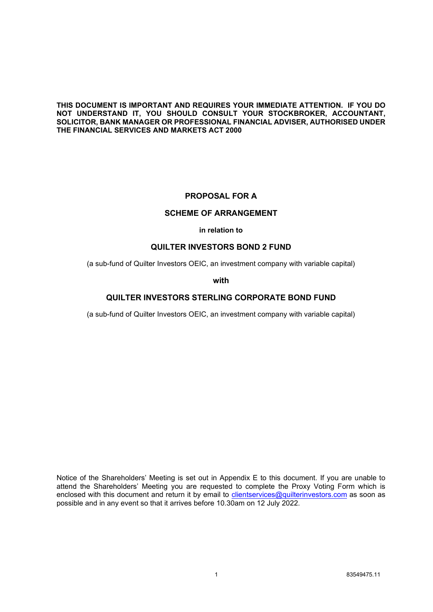#### **THIS DOCUMENT IS IMPORTANT AND REQUIRES YOUR IMMEDIATE ATTENTION. IF YOU DO NOT UNDERSTAND IT, YOU SHOULD CONSULT YOUR STOCKBROKER, ACCOUNTANT, SOLICITOR, BANK MANAGER OR PROFESSIONAL FINANCIAL ADVISER, AUTHORISED UNDER THE FINANCIAL SERVICES AND MARKETS ACT 2000**

## **PROPOSAL FOR A**

## **SCHEME OF ARRANGEMENT**

#### **in relation to**

## **QUILTER INVESTORS BOND 2 FUND**

(a sub-fund of Quilter Investors OEIC, an investment company with variable capital)

#### **with**

## **QUILTER INVESTORS STERLING CORPORATE BOND FUND**

(a sub-fund of Quilter Investors OEIC, an investment company with variable capital)

Notice of the Shareholders' Meeting is set out in Appendix E to this document. If you are unable to attend the Shareholders' Meeting you are requested to complete the Proxy Voting Form which is enclosed with this document and return it by email to *clientservices@quilterinvestors.com* as soon as possible and in any event so that it arrives before 10.30am on 12 July 2022.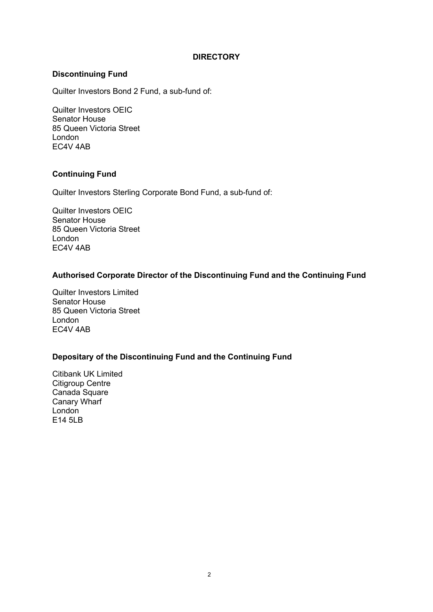# **DIRECTORY**

# **Discontinuing Fund**

Quilter Investors Bond 2 Fund, a sub-fund of:

Quilter Investors OEIC Senator House 85 Queen Victoria Street London EC4V 4AB

# **Continuing Fund**

Quilter Investors Sterling Corporate Bond Fund, a sub-fund of:

Quilter Investors OEIC Senator House 85 Queen Victoria Street London EC4V 4AB

# **Authorised Corporate Director of the Discontinuing Fund and the Continuing Fund**

Quilter Investors Limited Senator House 85 Queen Victoria Street London EC4V 4AB

# **Depositary of the Discontinuing Fund and the Continuing Fund**

Citibank UK Limited Citigroup Centre Canada Square Canary Wharf London E14 5LB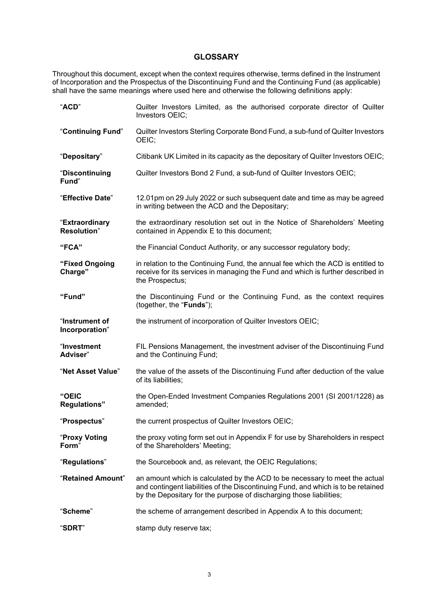# **GLOSSARY**

Throughout this document, except when the context requires otherwise, terms defined in the Instrument of Incorporation and the Prospectus of the Discontinuing Fund and the Continuing Fund (as applicable) shall have the same meanings where used here and otherwise the following definitions apply:

| "ACD"                                 | Quilter Investors Limited, as the authorised corporate director of Quilter<br>Investors OEIC;                                                                                                                                           |
|---------------------------------------|-----------------------------------------------------------------------------------------------------------------------------------------------------------------------------------------------------------------------------------------|
| "Continuing Fund"                     | Quilter Investors Sterling Corporate Bond Fund, a sub-fund of Quilter Investors<br>OEIC;                                                                                                                                                |
| "Depositary"                          | Citibank UK Limited in its capacity as the depositary of Quilter Investors OEIC;                                                                                                                                                        |
| "Discontinuing<br>Fund"               | Quilter Investors Bond 2 Fund, a sub-fund of Quilter Investors OEIC;                                                                                                                                                                    |
| "Effective Date"                      | 12.01pm on 29 July 2022 or such subsequent date and time as may be agreed<br>in writing between the ACD and the Depositary;                                                                                                             |
| "Extraordinary<br><b>Resolution</b> " | the extraordinary resolution set out in the Notice of Shareholders' Meeting<br>contained in Appendix E to this document;                                                                                                                |
| "FCA"                                 | the Financial Conduct Authority, or any successor regulatory body;                                                                                                                                                                      |
| "Fixed Ongoing<br>Charge"             | in relation to the Continuing Fund, the annual fee which the ACD is entitled to<br>receive for its services in managing the Fund and which is further described in<br>the Prospectus;                                                   |
| "Fund"                                | the Discontinuing Fund or the Continuing Fund, as the context requires<br>(together, the "Funds");                                                                                                                                      |
| "Instrument of<br>Incorporation"      | the instrument of incorporation of Quilter Investors OEIC;                                                                                                                                                                              |
| "Investment<br>Adviser"               | FIL Pensions Management, the investment adviser of the Discontinuing Fund<br>and the Continuing Fund;                                                                                                                                   |
| "Net Asset Value"                     | the value of the assets of the Discontinuing Fund after deduction of the value<br>of its liabilities;                                                                                                                                   |
| "OEIC<br><b>Regulations"</b>          | the Open-Ended Investment Companies Regulations 2001 (SI 2001/1228) as<br>amended;                                                                                                                                                      |
| "Prospectus"                          | the current prospectus of Quilter Investors OEIC;                                                                                                                                                                                       |
| "Proxy Voting<br>Form"                | the proxy voting form set out in Appendix F for use by Shareholders in respect<br>of the Shareholders' Meeting;                                                                                                                         |
| "Regulations"                         | the Sourcebook and, as relevant, the OEIC Regulations;                                                                                                                                                                                  |
| "Retained Amount"                     | an amount which is calculated by the ACD to be necessary to meet the actual<br>and contingent liabilities of the Discontinuing Fund, and which is to be retained<br>by the Depositary for the purpose of discharging those liabilities; |
| "Scheme"                              | the scheme of arrangement described in Appendix A to this document;                                                                                                                                                                     |
| "SDRT"                                | stamp duty reserve tax;                                                                                                                                                                                                                 |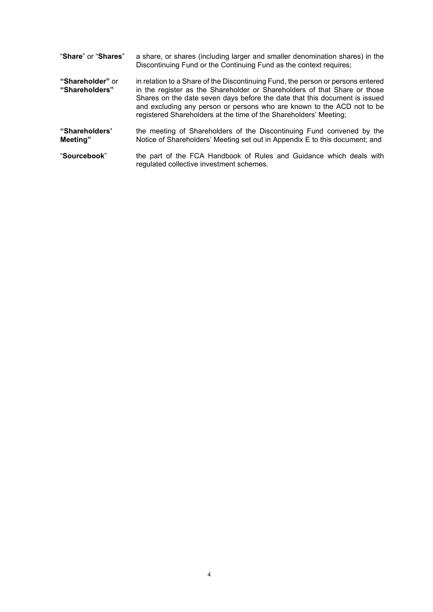| "Share" or "Shares"                | a share, or shares (including larger and smaller denomination shares) in the<br>Discontinuing Fund or the Continuing Fund as the context requires;                                                                                                                                                                                                                                        |
|------------------------------------|-------------------------------------------------------------------------------------------------------------------------------------------------------------------------------------------------------------------------------------------------------------------------------------------------------------------------------------------------------------------------------------------|
| "Shareholder" or<br>"Shareholders" | in relation to a Share of the Discontinuing Fund, the person or persons entered<br>in the register as the Shareholder or Shareholders of that Share or those<br>Shares on the date seven days before the date that this document is issued<br>and excluding any person or persons who are known to the ACD not to be<br>registered Shareholders at the time of the Shareholders' Meeting; |
| "Shareholders"<br>Meeting"         | the meeting of Shareholders of the Discontinuing Fund convened by the<br>Notice of Shareholders' Meeting set out in Appendix E to this document; and                                                                                                                                                                                                                                      |
| "Sourcebook"                       | the part of the FCA Handbook of Rules and Guidance which deals with<br>regulated collective investment schemes.                                                                                                                                                                                                                                                                           |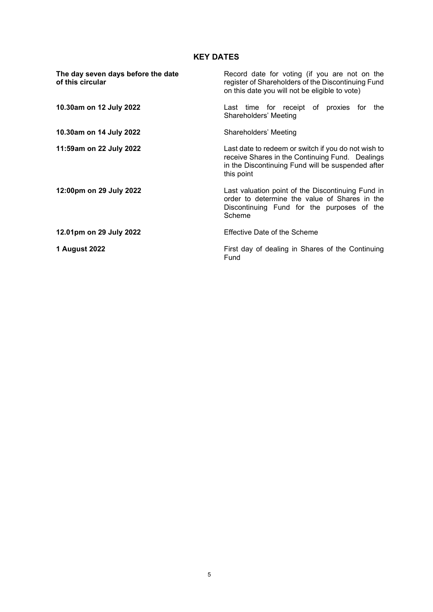# **KEY DATES**

| The day seven days before the date<br>of this circular | Record date for voting (if you are not on the<br>register of Shareholders of the Discontinuing Fund<br>on this date you will not be eligible to vote)                     |  |
|--------------------------------------------------------|---------------------------------------------------------------------------------------------------------------------------------------------------------------------------|--|
| 10.30am on 12 July 2022                                | Last time for receipt of proxies for the<br>Shareholders' Meeting                                                                                                         |  |
| 10.30am on 14 July 2022                                | Shareholders' Meeting                                                                                                                                                     |  |
| 11:59am on 22 July 2022                                | Last date to redeem or switch if you do not wish to<br>receive Shares in the Continuing Fund. Dealings<br>in the Discontinuing Fund will be suspended after<br>this point |  |
| 12:00pm on 29 July 2022                                | Last valuation point of the Discontinuing Fund in<br>order to determine the value of Shares in the<br>Discontinuing Fund for the purposes of the<br>Scheme                |  |
| 12.01pm on 29 July 2022                                | Effective Date of the Scheme                                                                                                                                              |  |
| 1 August 2022                                          | First day of dealing in Shares of the Continuing<br>Fund                                                                                                                  |  |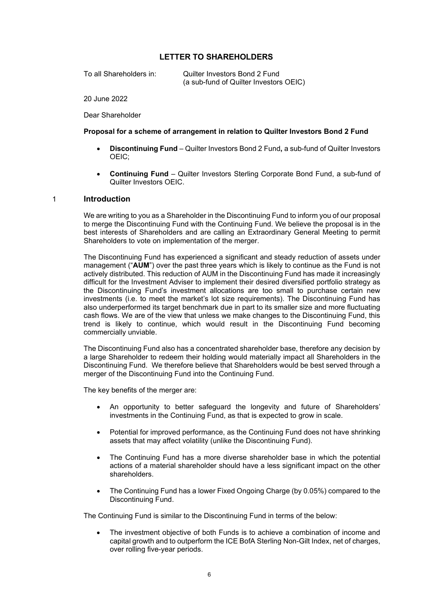## **LETTER TO SHAREHOLDERS**

To all Shareholders in: Quilter Investors Bond 2 Fund (a sub-fund of Quilter Investors OEIC)

20 June 2022

Dear Shareholder

### **Proposal for a scheme of arrangement in relation to Quilter Investors Bond 2 Fund**

- **Discontinuing Fund**  Quilter Investors Bond 2 Fund**,** a sub-fund of Quilter Investors OEIC;
- **Continuing Fund**  Quilter Investors Sterling Corporate Bond Fund, a sub-fund of Quilter Investors OEIC.

#### 1 **Introduction**

We are writing to you as a Shareholder in the Discontinuing Fund to inform you of our proposal to merge the Discontinuing Fund with the Continuing Fund. We believe the proposal is in the best interests of Shareholders and are calling an Extraordinary General Meeting to permit Shareholders to vote on implementation of the merger.

The Discontinuing Fund has experienced a significant and steady reduction of assets under management ("**AUM**") over the past three years which is likely to continue as the Fund is not actively distributed. This reduction of AUM in the Discontinuing Fund has made it increasingly difficult for the Investment Adviser to implement their desired diversified portfolio strategy as the Discontinuing Fund's investment allocations are too small to purchase certain new investments (i.e. to meet the market's lot size requirements). The Discontinuing Fund has also underperformed its target benchmark due in part to its smaller size and more fluctuating cash flows. We are of the view that unless we make changes to the Discontinuing Fund, this trend is likely to continue, which would result in the Discontinuing Fund becoming commercially unviable.

The Discontinuing Fund also has a concentrated shareholder base, therefore any decision by a large Shareholder to redeem their holding would materially impact all Shareholders in the Discontinuing Fund. We therefore believe that Shareholders would be best served through a merger of the Discontinuing Fund into the Continuing Fund.

The key benefits of the merger are:

- An opportunity to better safeguard the longevity and future of Shareholders' investments in the Continuing Fund, as that is expected to grow in scale.
- Potential for improved performance, as the Continuing Fund does not have shrinking assets that may affect volatility (unlike the Discontinuing Fund).
- The Continuing Fund has a more diverse shareholder base in which the potential actions of a material shareholder should have a less significant impact on the other shareholders.
- The Continuing Fund has a lower Fixed Ongoing Charge (by 0.05%) compared to the Discontinuing Fund.

The Continuing Fund is similar to the Discontinuing Fund in terms of the below:

• The investment objective of both Funds is to achieve a combination of income and capital growth and to outperform the ICE BofA Sterling Non-Gilt Index, net of charges, over rolling five-year periods.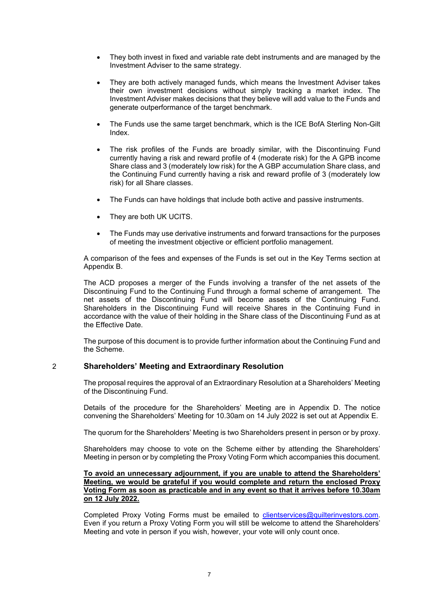- They both invest in fixed and variable rate debt instruments and are managed by the Investment Adviser to the same strategy.
- They are both actively managed funds, which means the Investment Adviser takes their own investment decisions without simply tracking a market index. The Investment Adviser makes decisions that they believe will add value to the Funds and generate outperformance of the target benchmark.
- The Funds use the same target benchmark, which is the ICE BofA Sterling Non-Gilt Index.
- The risk profiles of the Funds are broadly similar, with the Discontinuing Fund currently having a risk and reward profile of 4 (moderate risk) for the A GPB income Share class and 3 (moderately low risk) for the A GBP accumulation Share class, and the Continuing Fund currently having a risk and reward profile of 3 (moderately low risk) for all Share classes.
- The Funds can have holdings that include both active and passive instruments.
- They are both UK UCITS.
- The Funds may use derivative instruments and forward transactions for the purposes of meeting the investment objective or efficient portfolio management.

A comparison of the fees and expenses of the Funds is set out in the Key Terms section at Appendix B.

The ACD proposes a merger of the Funds involving a transfer of the net assets of the Discontinuing Fund to the Continuing Fund through a formal scheme of arrangement. The net assets of the Discontinuing Fund will become assets of the Continuing Fund. Shareholders in the Discontinuing Fund will receive Shares in the Continuing Fund in accordance with the value of their holding in the Share class of the Discontinuing Fund as at the Effective Date.

The purpose of this document is to provide further information about the Continuing Fund and the Scheme.

## 2 **Shareholders' Meeting and Extraordinary Resolution**

The proposal requires the approval of an Extraordinary Resolution at a Shareholders' Meeting of the Discontinuing Fund.

Details of the procedure for the Shareholders' Meeting are in Appendix D. The notice convening the Shareholders' Meeting for 10.30am on 14 July 2022 is set out at Appendix E.

The quorum for the Shareholders' Meeting is two Shareholders present in person or by proxy.

Shareholders may choose to vote on the Scheme either by attending the Shareholders' Meeting in person or by completing the Proxy Voting Form which accompanies this document.

#### **To avoid an unnecessary adjournment, if you are unable to attend the Shareholders' Meeting, we would be grateful if you would complete and return the enclosed Proxy Voting Form as soon as practicable and in any event so that it arrives before 10.30am on 12 July 2022.**

Completed Proxy Voting Forms must be emailed to [clientservices@quilterinvestors.com.](mailto:clientservices@quilterinvestors.com) Even if you return a Proxy Voting Form you will still be welcome to attend the Shareholders' Meeting and vote in person if you wish, however, your vote will only count once.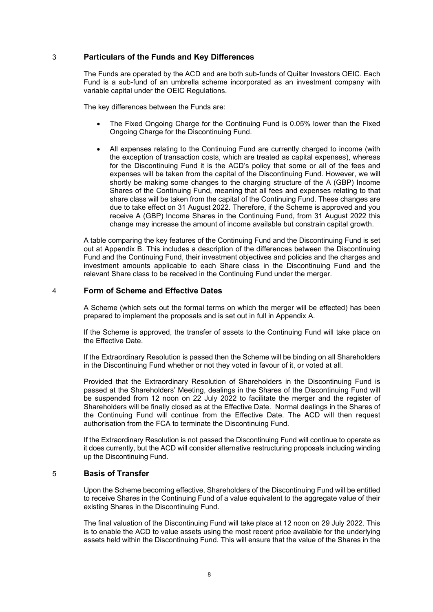#### 3 **Particulars of the Funds and Key Differences**

The Funds are operated by the ACD and are both sub-funds of Quilter Investors OEIC. Each Fund is a sub-fund of an umbrella scheme incorporated as an investment company with variable capital under the OEIC Regulations.

The key differences between the Funds are:

- The Fixed Ongoing Charge for the Continuing Fund is 0.05% lower than the Fixed Ongoing Charge for the Discontinuing Fund.
- All expenses relating to the Continuing Fund are currently charged to income (with the exception of transaction costs, which are treated as capital expenses), whereas for the Discontinuing Fund it is the ACD's policy that some or all of the fees and expenses will be taken from the capital of the Discontinuing Fund. However, we will shortly be making some changes to the charging structure of the A (GBP) Income Shares of the Continuing Fund, meaning that all fees and expenses relating to that share class will be taken from the capital of the Continuing Fund. These changes are due to take effect on 31 August 2022. Therefore, if the Scheme is approved and you receive A (GBP) Income Shares in the Continuing Fund, from 31 August 2022 this change may increase the amount of income available but constrain capital growth.

A table comparing the key features of the Continuing Fund and the Discontinuing Fund is set out at Appendix B. This includes a description of the differences between the Discontinuing Fund and the Continuing Fund, their investment objectives and policies and the charges and investment amounts applicable to each Share class in the Discontinuing Fund and the relevant Share class to be received in the Continuing Fund under the merger.

#### 4 **Form of Scheme and Effective Dates**

A Scheme (which sets out the formal terms on which the merger will be effected) has been prepared to implement the proposals and is set out in full in Appendix A.

If the Scheme is approved, the transfer of assets to the Continuing Fund will take place on the Effective Date.

If the Extraordinary Resolution is passed then the Scheme will be binding on all Shareholders in the Discontinuing Fund whether or not they voted in favour of it, or voted at all.

Provided that the Extraordinary Resolution of Shareholders in the Discontinuing Fund is passed at the Shareholders' Meeting, dealings in the Shares of the Discontinuing Fund will be suspended from 12 noon on 22 July 2022 to facilitate the merger and the register of Shareholders will be finally closed as at the Effective Date. Normal dealings in the Shares of the Continuing Fund will continue from the Effective Date. The ACD will then request authorisation from the FCA to terminate the Discontinuing Fund.

If the Extraordinary Resolution is not passed the Discontinuing Fund will continue to operate as it does currently, but the ACD will consider alternative restructuring proposals including winding up the Discontinuing Fund.

## 5 **Basis of Transfer**

Upon the Scheme becoming effective, Shareholders of the Discontinuing Fund will be entitled to receive Shares in the Continuing Fund of a value equivalent to the aggregate value of their existing Shares in the Discontinuing Fund.

The final valuation of the Discontinuing Fund will take place at 12 noon on 29 July 2022. This is to enable the ACD to value assets using the most recent price available for the underlying assets held within the Discontinuing Fund. This will ensure that the value of the Shares in the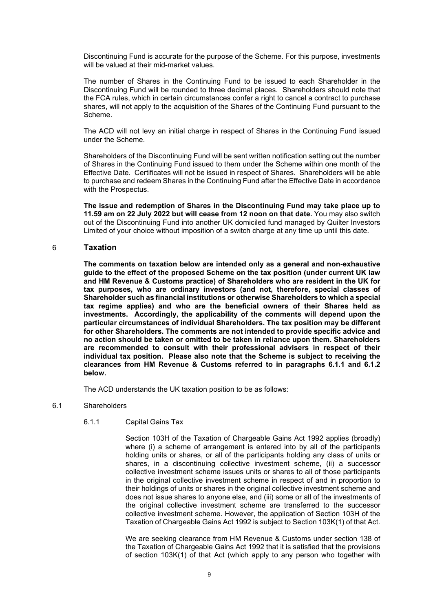Discontinuing Fund is accurate for the purpose of the Scheme. For this purpose, investments will be valued at their mid-market values.

The number of Shares in the Continuing Fund to be issued to each Shareholder in the Discontinuing Fund will be rounded to three decimal places. Shareholders should note that the FCA rules, which in certain circumstances confer a right to cancel a contract to purchase shares, will not apply to the acquisition of the Shares of the Continuing Fund pursuant to the Scheme.

The ACD will not levy an initial charge in respect of Shares in the Continuing Fund issued under the Scheme.

Shareholders of the Discontinuing Fund will be sent written notification setting out the number of Shares in the Continuing Fund issued to them under the Scheme within one month of the Effective Date. Certificates will not be issued in respect of Shares. Shareholders will be able to purchase and redeem Shares in the Continuing Fund after the Effective Date in accordance with the Prospectus.

**The issue and redemption of Shares in the Discontinuing Fund may take place up to 11.59 am on 22 July 2022 but will cease from 12 noon on that date.** You may also switch out of the Discontinuing Fund into another UK domiciled fund managed by Quilter Investors Limited of your choice without imposition of a switch charge at any time up until this date.

## 6 **Taxation**

**The comments on taxation below are intended only as a general and non-exhaustive guide to the effect of the proposed Scheme on the tax position (under current UK law and HM Revenue & Customs practice) of Shareholders who are resident in the UK for tax purposes, who are ordinary investors (and not, therefore, special classes of Shareholder such as financial institutions or otherwise Shareholders to which a special tax regime applies) and who are the beneficial owners of their Shares held as investments. Accordingly, the applicability of the comments will depend upon the particular circumstances of individual Shareholders. The tax position may be different for other Shareholders. The comments are not intended to provide specific advice and no action should be taken or omitted to be taken in reliance upon them. Shareholders are recommended to consult with their professional advisers in respect of their individual tax position. Please also note that the Scheme is subject to receiving the clearances from HM Revenue & Customs referred to in paragraphs 6.1.1 and 6.1.2 below.**

The ACD understands the UK taxation position to be as follows:

#### 6.1 Shareholders

#### 6.1.1 Capital Gains Tax

Section 103H of the Taxation of Chargeable Gains Act 1992 applies (broadly) where (i) a scheme of arrangement is entered into by all of the participants holding units or shares, or all of the participants holding any class of units or shares, in a discontinuing collective investment scheme, (ii) a successor collective investment scheme issues units or shares to all of those participants in the original collective investment scheme in respect of and in proportion to their holdings of units or shares in the original collective investment scheme and does not issue shares to anyone else, and (iii) some or all of the investments of the original collective investment scheme are transferred to the successor collective investment scheme. However, the application of Section 103H of the Taxation of Chargeable Gains Act 1992 is subject to Section 103K(1) of that Act.

We are seeking clearance from HM Revenue & Customs under section 138 of the Taxation of Chargeable Gains Act 1992 that it is satisfied that the provisions of section 103K(1) of that Act (which apply to any person who together with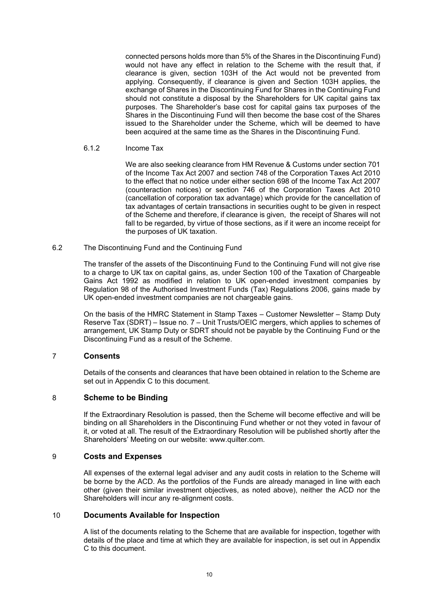connected persons holds more than 5% of the Shares in the Discontinuing Fund) would not have any effect in relation to the Scheme with the result that, if clearance is given, section 103H of the Act would not be prevented from applying. Consequently, if clearance is given and Section 103H applies, the exchange of Shares in the Discontinuing Fund for Shares in the Continuing Fund should not constitute a disposal by the Shareholders for UK capital gains tax purposes. The Shareholder's base cost for capital gains tax purposes of the Shares in the Discontinuing Fund will then become the base cost of the Shares issued to the Shareholder under the Scheme, which will be deemed to have been acquired at the same time as the Shares in the Discontinuing Fund.

6.1.2 Income Tax

We are also seeking clearance from HM Revenue & Customs under section 701 of the Income Tax Act 2007 and section 748 of the Corporation Taxes Act 2010 to the effect that no notice under either section 698 of the Income Tax Act 2007 (counteraction notices) or section 746 of the Corporation Taxes Act 2010 (cancellation of corporation tax advantage) which provide for the cancellation of tax advantages of certain transactions in securities ought to be given in respect of the Scheme and therefore, if clearance is given, the receipt of Shares will not fall to be regarded, by virtue of those sections, as if it were an income receipt for the purposes of UK taxation.

6.2 The Discontinuing Fund and the Continuing Fund

The transfer of the assets of the Discontinuing Fund to the Continuing Fund will not give rise to a charge to UK tax on capital gains, as, under Section 100 of the Taxation of Chargeable Gains Act 1992 as modified in relation to UK open-ended investment companies by Regulation 98 of the Authorised Investment Funds (Tax) Regulations 2006, gains made by UK open-ended investment companies are not chargeable gains.

On the basis of the HMRC Statement in Stamp Taxes – Customer Newsletter – Stamp Duty Reserve Tax (SDRT) – Issue no. 7 – Unit Trusts/OEIC mergers, which applies to schemes of arrangement, UK Stamp Duty or SDRT should not be payable by the Continuing Fund or the Discontinuing Fund as a result of the Scheme.

## 7 **Consents**

Details of the consents and clearances that have been obtained in relation to the Scheme are set out in Appendix C to this document.

## 8 **Scheme to be Binding**

If the Extraordinary Resolution is passed, then the Scheme will become effective and will be binding on all Shareholders in the Discontinuing Fund whether or not they voted in favour of it, or voted at all. The result of the Extraordinary Resolution will be published shortly after the Shareholders' Meeting on our website: www.quilter.com.

## 9 **Costs and Expenses**

All expenses of the external legal adviser and any audit costs in relation to the Scheme will be borne by the ACD. As the portfolios of the Funds are already managed in line with each other (given their similar investment objectives, as noted above), neither the ACD nor the Shareholders will incur any re-alignment costs.

## 10 **Documents Available for Inspection**

A list of the documents relating to the Scheme that are available for inspection, together with details of the place and time at which they are available for inspection, is set out in Appendix C to this document.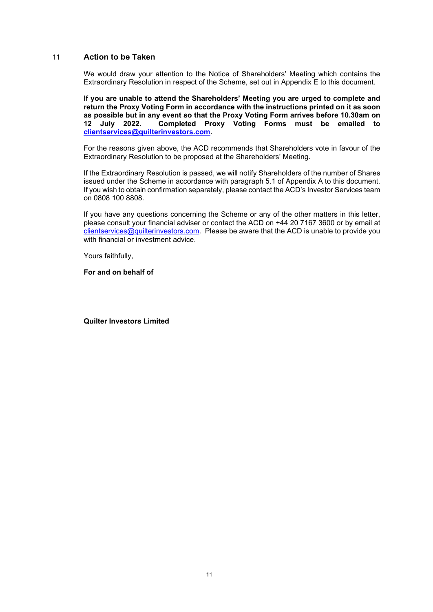## 11 **Action to be Taken**

We would draw your attention to the Notice of Shareholders' Meeting which contains the Extraordinary Resolution in respect of the Scheme, set out in Appendix E to this document.

**If you are unable to attend the Shareholders' Meeting you are urged to complete and return the Proxy Voting Form in accordance with the instructions printed on it as soon as possible but in any event so that the Proxy Voting Form arrives before 10.30am on 2** Completed Proxy Voting Forms must be emailed to **[clientservices@quilterinvestors.com.](mailto:clientservices@quilterinvestors.com)** 

For the reasons given above, the ACD recommends that Shareholders vote in favour of the Extraordinary Resolution to be proposed at the Shareholders' Meeting.

If the Extraordinary Resolution is passed, we will notify Shareholders of the number of Shares issued under the Scheme in accordance with paragraph 5.1 of Appendix A to this document. If you wish to obtain confirmation separately, please contact the ACD's Investor Services team on 0808 100 8808.

If you have any questions concerning the Scheme or any of the other matters in this letter, please consult your financial adviser or contact the ACD on +44 20 7167 3600 or by email at [clientservices@quilterinvestors.com.](mailto:clientservices@quilterinvestors.com) Please be aware that the ACD is unable to provide you with financial or investment advice.

Yours faithfully,

**For and on behalf of**

**Quilter Investors Limited**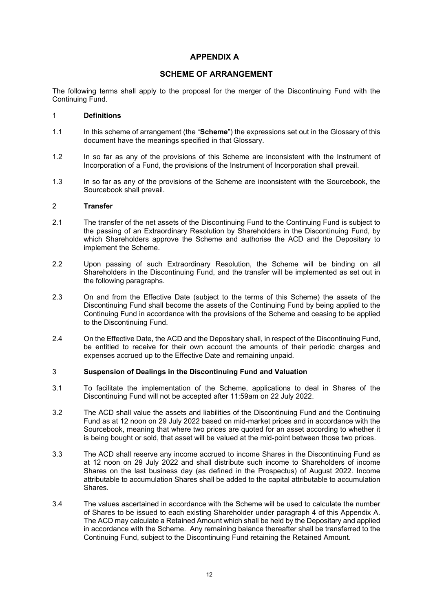# **APPENDIX A**

## **SCHEME OF ARRANGEMENT**

The following terms shall apply to the proposal for the merger of the Discontinuing Fund with the Continuing Fund.

#### 1 **Definitions**

- 1.1 In this scheme of arrangement (the "**Scheme**") the expressions set out in the Glossary of this document have the meanings specified in that Glossary.
- 1.2 In so far as any of the provisions of this Scheme are inconsistent with the Instrument of Incorporation of a Fund, the provisions of the Instrument of Incorporation shall prevail.
- 1.3 In so far as any of the provisions of the Scheme are inconsistent with the Sourcebook, the Sourcebook shall prevail.

#### 2 **Transfer**

- 2.1 The transfer of the net assets of the Discontinuing Fund to the Continuing Fund is subject to the passing of an Extraordinary Resolution by Shareholders in the Discontinuing Fund, by which Shareholders approve the Scheme and authorise the ACD and the Depositary to implement the Scheme.
- 2.2 Upon passing of such Extraordinary Resolution, the Scheme will be binding on all Shareholders in the Discontinuing Fund, and the transfer will be implemented as set out in the following paragraphs.
- 2.3 On and from the Effective Date (subject to the terms of this Scheme) the assets of the Discontinuing Fund shall become the assets of the Continuing Fund by being applied to the Continuing Fund in accordance with the provisions of the Scheme and ceasing to be applied to the Discontinuing Fund.
- 2.4 On the Effective Date, the ACD and the Depositary shall, in respect of the Discontinuing Fund, be entitled to receive for their own account the amounts of their periodic charges and expenses accrued up to the Effective Date and remaining unpaid.

## 3 **Suspension of Dealings in the Discontinuing Fund and Valuation**

- 3.1 To facilitate the implementation of the Scheme, applications to deal in Shares of the Discontinuing Fund will not be accepted after 11:59am on 22 July 2022.
- 3.2 The ACD shall value the assets and liabilities of the Discontinuing Fund and the Continuing Fund as at 12 noon on 29 July 2022 based on mid-market prices and in accordance with the Sourcebook, meaning that where two prices are quoted for an asset according to whether it is being bought or sold, that asset will be valued at the mid-point between those two prices.
- 3.3 The ACD shall reserve any income accrued to income Shares in the Discontinuing Fund as at 12 noon on 29 July 2022 and shall distribute such income to Shareholders of income Shares on the last business day (as defined in the Prospectus) of August 2022. Income attributable to accumulation Shares shall be added to the capital attributable to accumulation Shares.
- 3.4 The values ascertained in accordance with the Scheme will be used to calculate the number of Shares to be issued to each existing Shareholder under paragraph 4 of this Appendix A. The ACD may calculate a Retained Amount which shall be held by the Depositary and applied in accordance with the Scheme. Any remaining balance thereafter shall be transferred to the Continuing Fund, subject to the Discontinuing Fund retaining the Retained Amount.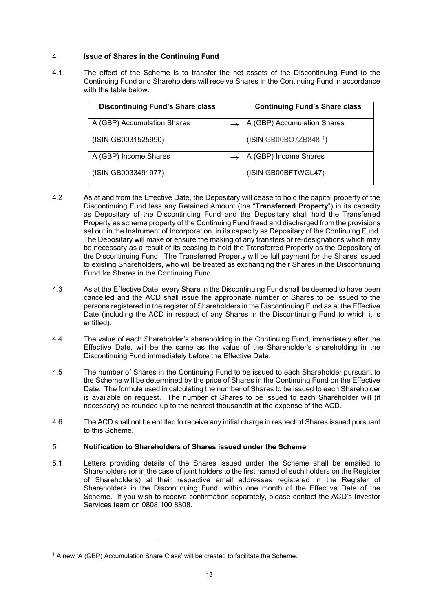# 4 **Issue of Shares in the Continuing Fund**

4.1 The effect of the Scheme is to transfer the net assets of the Discontinuing Fund to the Continuing Fund and Shareholders will receive Shares in the Continuing Fund in accordance with the table below.

| <b>Discontinuing Fund's Share class</b> |               | <b>Continuing Fund's Share class</b> |
|-----------------------------------------|---------------|--------------------------------------|
| A (GBP) Accumulation Shares             | $\rightarrow$ | A (GBP) Accumulation Shares          |
| (ISIN GB0031525990)                     |               | (ISIN GB00BQ7ZB848 1)                |
| A (GBP) Income Shares                   |               | A (GBP) Income Shares                |
| (ISIN GB0033491977)                     |               | (ISIN GB00BFTWGL47)                  |

- 4.2 As at and from the Effective Date, the Depositary will cease to hold the capital property of the Discontinuing Fund less any Retained Amount (the "**Transferred Property**") in its capacity as Depositary of the Discontinuing Fund and the Depositary shall hold the Transferred Property as scheme property of the Continuing Fund freed and discharged from the provisions set out in the Instrument of Incorporation, in its capacity as Depositary of the Continuing Fund. The Depositary will make or ensure the making of any transfers or re-designations which may be necessary as a result of its ceasing to hold the Transferred Property as the Depositary of the Discontinuing Fund. The Transferred Property will be full payment for the Shares issued to existing Shareholders, who will be treated as exchanging their Shares in the Discontinuing Fund for Shares in the Continuing Fund.
- 4.3 As at the Effective Date, every Share in the Discontinuing Fund shall be deemed to have been cancelled and the ACD shall issue the appropriate number of Shares to be issued to the persons registered in the register of Shareholders in the Discontinuing Fund as at the Effective Date (including the ACD in respect of any Shares in the Discontinuing Fund to which it is entitled).
- 4.4 The value of each Shareholder's shareholding in the Continuing Fund, immediately after the Effective Date, will be the same as the value of the Shareholder's shareholding in the Discontinuing Fund immediately before the Effective Date.
- 4.5 The number of Shares in the Continuing Fund to be issued to each Shareholder pursuant to the Scheme will be determined by the price of Shares in the Continuing Fund on the Effective Date. The formula used in calculating the number of Shares to be issued to each Shareholder is available on request. The number of Shares to be issued to each Shareholder will (if necessary) be rounded up to the nearest thousandth at the expense of the ACD.
- 4.6 The ACD shall not be entitled to receive any initial charge in respect of Shares issued pursuant to this Scheme.

## 5 **Notification to Shareholders of Shares issued under the Scheme**

5.1 Letters providing details of the Shares issued under the Scheme shall be emailed to Shareholders (or in the case of joint holders to the first named of such holders on the Register of Shareholders) at their respective email addresses registered in the Register of Shareholders in the Discontinuing Fund, within one month of the Effective Date of the Scheme. If you wish to receive confirmation separately, please contact the ACD's Investor Services team on 0808 100 8808.

<span id="page-12-0"></span><sup>1</sup> A new 'A (GBP) Accumulation Share Class' will be created to facilitate the Scheme.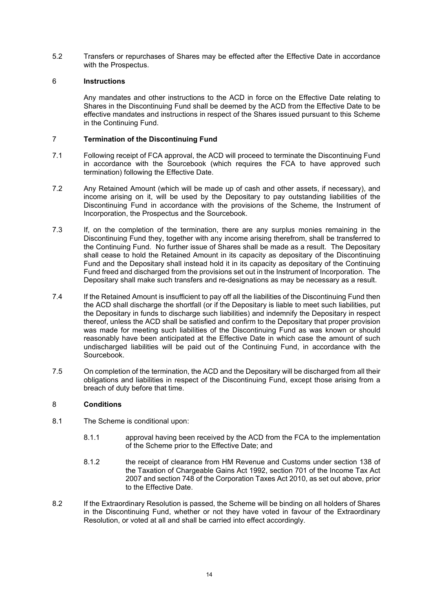5.2 Transfers or repurchases of Shares may be effected after the Effective Date in accordance with the Prospectus.

### 6 **Instructions**

Any mandates and other instructions to the ACD in force on the Effective Date relating to Shares in the Discontinuing Fund shall be deemed by the ACD from the Effective Date to be effective mandates and instructions in respect of the Shares issued pursuant to this Scheme in the Continuing Fund.

## 7 **Termination of the Discontinuing Fund**

- 7.1 Following receipt of FCA approval, the ACD will proceed to terminate the Discontinuing Fund in accordance with the Sourcebook (which requires the FCA to have approved such termination) following the Effective Date.
- 7.2 Any Retained Amount (which will be made up of cash and other assets, if necessary), and income arising on it, will be used by the Depositary to pay outstanding liabilities of the Discontinuing Fund in accordance with the provisions of the Scheme, the Instrument of Incorporation, the Prospectus and the Sourcebook.
- 7.3 If, on the completion of the termination, there are any surplus monies remaining in the Discontinuing Fund they, together with any income arising therefrom, shall be transferred to the Continuing Fund. No further issue of Shares shall be made as a result. The Depositary shall cease to hold the Retained Amount in its capacity as depositary of the Discontinuing Fund and the Depositary shall instead hold it in its capacity as depositary of the Continuing Fund freed and discharged from the provisions set out in the Instrument of Incorporation. The Depositary shall make such transfers and re-designations as may be necessary as a result.
- 7.4 If the Retained Amount is insufficient to pay off all the liabilities of the Discontinuing Fund then the ACD shall discharge the shortfall (or if the Depositary is liable to meet such liabilities, put the Depositary in funds to discharge such liabilities) and indemnify the Depositary in respect thereof, unless the ACD shall be satisfied and confirm to the Depositary that proper provision was made for meeting such liabilities of the Discontinuing Fund as was known or should reasonably have been anticipated at the Effective Date in which case the amount of such undischarged liabilities will be paid out of the Continuing Fund, in accordance with the Sourcebook.
- 7.5 On completion of the termination, the ACD and the Depositary will be discharged from all their obligations and liabilities in respect of the Discontinuing Fund, except those arising from a breach of duty before that time.

## 8 **Conditions**

- 8.1 The Scheme is conditional upon:
	- 8.1.1 approval having been received by the ACD from the FCA to the implementation of the Scheme prior to the Effective Date; and
	- 8.1.2 the receipt of clearance from HM Revenue and Customs under section 138 of the Taxation of Chargeable Gains Act 1992, section 701 of the Income Tax Act 2007 and section 748 of the Corporation Taxes Act 2010, as set out above, prior to the Effective Date.
- 8.2 If the Extraordinary Resolution is passed, the Scheme will be binding on all holders of Shares in the Discontinuing Fund, whether or not they have voted in favour of the Extraordinary Resolution, or voted at all and shall be carried into effect accordingly.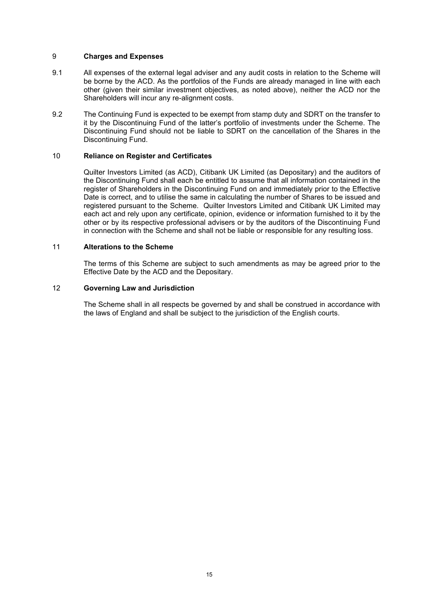#### 9 **Charges and Expenses**

- 9.1 All expenses of the external legal adviser and any audit costs in relation to the Scheme will be borne by the ACD. As the portfolios of the Funds are already managed in line with each other (given their similar investment objectives, as noted above), neither the ACD nor the Shareholders will incur any re-alignment costs.
- 9.2 The Continuing Fund is expected to be exempt from stamp duty and SDRT on the transfer to it by the Discontinuing Fund of the latter's portfolio of investments under the Scheme. The Discontinuing Fund should not be liable to SDRT on the cancellation of the Shares in the Discontinuing Fund.

#### 10 **Reliance on Register and Certificates**

Quilter Investors Limited (as ACD), Citibank UK Limited (as Depositary) and the auditors of the Discontinuing Fund shall each be entitled to assume that all information contained in the register of Shareholders in the Discontinuing Fund on and immediately prior to the Effective Date is correct, and to utilise the same in calculating the number of Shares to be issued and registered pursuant to the Scheme. Quilter Investors Limited and Citibank UK Limited may each act and rely upon any certificate, opinion, evidence or information furnished to it by the other or by its respective professional advisers or by the auditors of the Discontinuing Fund in connection with the Scheme and shall not be liable or responsible for any resulting loss.

#### 11 **Alterations to the Scheme**

The terms of this Scheme are subject to such amendments as may be agreed prior to the Effective Date by the ACD and the Depositary.

#### 12 **Governing Law and Jurisdiction**

The Scheme shall in all respects be governed by and shall be construed in accordance with the laws of England and shall be subject to the jurisdiction of the English courts.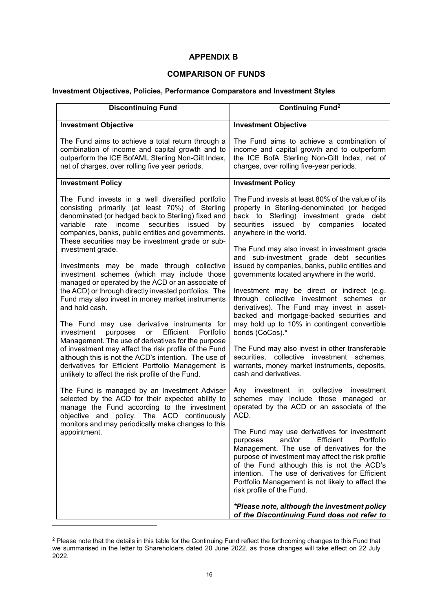# **APPENDIX B**

# **COMPARISON OF FUNDS**

## **Investment Objectives, Policies, Performance Comparators and Investment Styles**

| <b>Discontinuing Fund</b>                                                                                                                                                                                                                                                                                                       | <b>Continuing Fund<sup>2</sup></b>                                                                                                                                                                                                                                                                                                                                               |  |
|---------------------------------------------------------------------------------------------------------------------------------------------------------------------------------------------------------------------------------------------------------------------------------------------------------------------------------|----------------------------------------------------------------------------------------------------------------------------------------------------------------------------------------------------------------------------------------------------------------------------------------------------------------------------------------------------------------------------------|--|
| <b>Investment Objective</b>                                                                                                                                                                                                                                                                                                     | <b>Investment Objective</b>                                                                                                                                                                                                                                                                                                                                                      |  |
| The Fund aims to achieve a total return through a<br>combination of income and capital growth and to<br>outperform the ICE BofAML Sterling Non-Gilt Index,<br>net of charges, over rolling five year periods.                                                                                                                   | The Fund aims to achieve a combination of<br>income and capital growth and to outperform<br>the ICE BofA Sterling Non-Gilt Index, net of<br>charges, over rolling five-year periods.                                                                                                                                                                                             |  |
| <b>Investment Policy</b>                                                                                                                                                                                                                                                                                                        | <b>Investment Policy</b>                                                                                                                                                                                                                                                                                                                                                         |  |
| The Fund invests in a well diversified portfolio<br>consisting primarily (at least 70%) of Sterling<br>denominated (or hedged back to Sterling) fixed and<br>income<br>securities<br>variable<br>rate<br>issued<br>by<br>companies, banks, public entities and governments.<br>These securities may be investment grade or sub- | The Fund invests at least 80% of the value of its<br>property in Sterling-denominated (or hedged<br>back to Sterling) investment grade debt<br>securities<br>issued by companies<br>located<br>anywhere in the world.                                                                                                                                                            |  |
| investment grade.<br>Investments may be made through collective                                                                                                                                                                                                                                                                 | The Fund may also invest in investment grade<br>and sub-investment grade debt securities<br>issued by companies, banks, public entities and                                                                                                                                                                                                                                      |  |
| investment schemes (which may include those<br>managed or operated by the ACD or an associate of                                                                                                                                                                                                                                | governments located anywhere in the world.                                                                                                                                                                                                                                                                                                                                       |  |
| the ACD) or through directly invested portfolios. The<br>Fund may also invest in money market instruments<br>and hold cash.                                                                                                                                                                                                     | Investment may be direct or indirect (e.g.<br>through collective investment schemes or<br>derivatives). The Fund may invest in asset-<br>backed and mortgage-backed securities and                                                                                                                                                                                               |  |
| The Fund may use derivative instruments for<br>Efficient<br>investment<br>purposes<br>or<br>Portfolio                                                                                                                                                                                                                           | may hold up to 10% in contingent convertible<br>bonds (CoCos).*                                                                                                                                                                                                                                                                                                                  |  |
| Management. The use of derivatives for the purpose<br>of investment may affect the risk profile of the Fund<br>although this is not the ACD's intention. The use of<br>derivatives for Efficient Portfolio Management is<br>unlikely to affect the risk profile of the Fund.                                                    | The Fund may also invest in other transferable<br>securities, collective investment schemes,<br>warrants, money market instruments, deposits,<br>cash and derivatives.                                                                                                                                                                                                           |  |
| The Fund is managed by an Investment Adviser<br>selected by the ACD for their expected ability to<br>manage the Fund according to the investment<br>objective and policy. The ACD continuously<br>monitors and may periodically make changes to this                                                                            | investment in collective<br>investment<br>Any<br>schemes may include those managed or<br>operated by the ACD or an associate of the<br>ACD.                                                                                                                                                                                                                                      |  |
| appointment.                                                                                                                                                                                                                                                                                                                    | The Fund may use derivatives for investment<br>and/or<br>Efficient<br>Portfolio<br>purposes<br>Management. The use of derivatives for the<br>purpose of investment may affect the risk profile<br>of the Fund although this is not the ACD's<br>intention. The use of derivatives for Efficient<br>Portfolio Management is not likely to affect the<br>risk profile of the Fund. |  |
|                                                                                                                                                                                                                                                                                                                                 | *Please note, although the investment policy<br>of the Discontinuing Fund does not refer to                                                                                                                                                                                                                                                                                      |  |

<span id="page-15-0"></span> $^2$  Please note that the details in this table for the Continuing Fund reflect the forthcoming changes to this Fund that we summarised in the letter to Shareholders dated 20 June 2022, as those changes will take effect on 22 July 2022.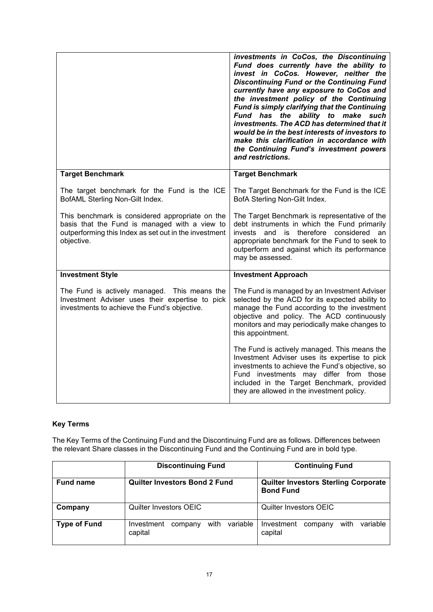|                                                                                                                                                                         | investments in CoCos, the Discontinuing<br>Fund does currently have the ability to<br>invest in CoCos. However, neither the<br><b>Discontinuing Fund or the Continuing Fund</b><br>currently have any exposure to CoCos and<br>the investment policy of the Continuing<br>Fund is simply clarifying that the Continuing<br>Fund has the ability to make such<br>investments. The ACD has determined that it<br>would be in the best interests of investors to<br>make this clarification in accordance with<br>the Continuing Fund's investment powers<br>and restrictions. |
|-------------------------------------------------------------------------------------------------------------------------------------------------------------------------|-----------------------------------------------------------------------------------------------------------------------------------------------------------------------------------------------------------------------------------------------------------------------------------------------------------------------------------------------------------------------------------------------------------------------------------------------------------------------------------------------------------------------------------------------------------------------------|
| <b>Target Benchmark</b>                                                                                                                                                 | <b>Target Benchmark</b>                                                                                                                                                                                                                                                                                                                                                                                                                                                                                                                                                     |
| The target benchmark for the Fund is the ICE<br>BofAML Sterling Non-Gilt Index.                                                                                         | The Target Benchmark for the Fund is the ICE<br>BofA Sterling Non-Gilt Index.                                                                                                                                                                                                                                                                                                                                                                                                                                                                                               |
| This benchmark is considered appropriate on the<br>basis that the Fund is managed with a view to<br>outperforming this Index as set out in the investment<br>objective. | The Target Benchmark is representative of the<br>debt instruments in which the Fund primarily<br>and is therefore considered<br>invests<br>an<br>appropriate benchmark for the Fund to seek to<br>outperform and against which its performance<br>may be assessed.                                                                                                                                                                                                                                                                                                          |
| <b>Investment Style</b>                                                                                                                                                 | <b>Investment Approach</b>                                                                                                                                                                                                                                                                                                                                                                                                                                                                                                                                                  |
| The Fund is actively managed. This means the<br>Investment Adviser uses their expertise to pick<br>investments to achieve the Fund's objective.                         | The Fund is managed by an Investment Adviser<br>selected by the ACD for its expected ability to<br>manage the Fund according to the investment<br>objective and policy. The ACD continuously<br>monitors and may periodically make changes to<br>this appointment.                                                                                                                                                                                                                                                                                                          |
|                                                                                                                                                                         | The Fund is actively managed. This means the<br>Investment Adviser uses its expertise to pick<br>investments to achieve the Fund's objective, so<br>Fund investments may differ from those<br>included in the Target Benchmark, provided<br>they are allowed in the investment policy.                                                                                                                                                                                                                                                                                      |

# **Key Terms**

The Key Terms of the Continuing Fund and the Discontinuing Fund are as follows. Differences between the relevant Share classes in the Discontinuing Fund and the Continuing Fund are in bold type.

|                     | <b>Discontinuing Fund</b>                            | <b>Continuing Fund</b>                                          |  |
|---------------------|------------------------------------------------------|-----------------------------------------------------------------|--|
| <b>Fund name</b>    | <b>Quilter Investors Bond 2 Fund</b>                 | <b>Quilter Investors Sterling Corporate</b><br><b>Bond Fund</b> |  |
| Company             | <b>Quilter Investors OEIC</b>                        | Quilter Investors OEIC                                          |  |
| <b>Type of Fund</b> | variable<br>with<br>Investment<br>company<br>capital | variable<br>with<br>Investment<br>company<br>capital            |  |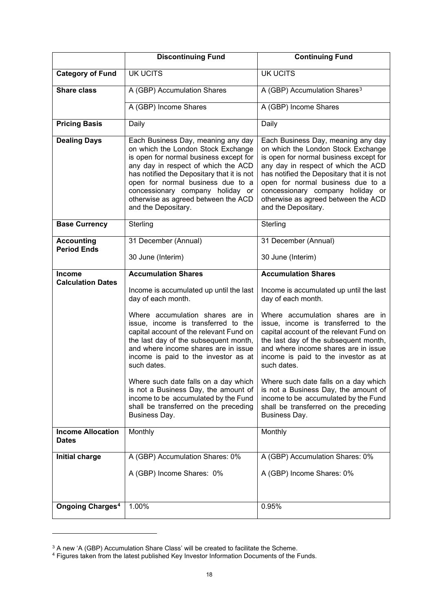|                                           | <b>Discontinuing Fund</b>                                                                                                                                                                                                                                                                                                                      | <b>Continuing Fund</b>                                                                                                                                                                                                                                                                                                                         |
|-------------------------------------------|------------------------------------------------------------------------------------------------------------------------------------------------------------------------------------------------------------------------------------------------------------------------------------------------------------------------------------------------|------------------------------------------------------------------------------------------------------------------------------------------------------------------------------------------------------------------------------------------------------------------------------------------------------------------------------------------------|
| <b>Category of Fund</b>                   | <b>UK UCITS</b>                                                                                                                                                                                                                                                                                                                                | <b>UK UCITS</b>                                                                                                                                                                                                                                                                                                                                |
| <b>Share class</b>                        | A (GBP) Accumulation Shares                                                                                                                                                                                                                                                                                                                    | A (GBP) Accumulation Shares <sup>3</sup>                                                                                                                                                                                                                                                                                                       |
|                                           | A (GBP) Income Shares                                                                                                                                                                                                                                                                                                                          | A (GBP) Income Shares                                                                                                                                                                                                                                                                                                                          |
| <b>Pricing Basis</b>                      | Daily                                                                                                                                                                                                                                                                                                                                          | Daily                                                                                                                                                                                                                                                                                                                                          |
| <b>Dealing Days</b>                       | Each Business Day, meaning any day<br>on which the London Stock Exchange<br>is open for normal business except for<br>any day in respect of which the ACD<br>has notified the Depositary that it is not<br>open for normal business due to a<br>concessionary company holiday or<br>otherwise as agreed between the ACD<br>and the Depositary. | Each Business Day, meaning any day<br>on which the London Stock Exchange<br>is open for normal business except for<br>any day in respect of which the ACD<br>has notified the Depositary that it is not<br>open for normal business due to a<br>concessionary company holiday or<br>otherwise as agreed between the ACD<br>and the Depositary. |
| <b>Base Currency</b>                      | Sterling                                                                                                                                                                                                                                                                                                                                       | Sterling                                                                                                                                                                                                                                                                                                                                       |
| <b>Accounting</b><br><b>Period Ends</b>   | 31 December (Annual)                                                                                                                                                                                                                                                                                                                           | 31 December (Annual)                                                                                                                                                                                                                                                                                                                           |
|                                           | 30 June (Interim)                                                                                                                                                                                                                                                                                                                              | 30 June (Interim)                                                                                                                                                                                                                                                                                                                              |
| <b>Income</b><br><b>Calculation Dates</b> | <b>Accumulation Shares</b>                                                                                                                                                                                                                                                                                                                     | <b>Accumulation Shares</b>                                                                                                                                                                                                                                                                                                                     |
|                                           | Income is accumulated up until the last<br>day of each month.                                                                                                                                                                                                                                                                                  | Income is accumulated up until the last<br>day of each month.                                                                                                                                                                                                                                                                                  |
|                                           | Where accumulation shares are in<br>issue, income is transferred to the<br>capital account of the relevant Fund on<br>the last day of the subsequent month,<br>and where income shares are in issue<br>income is paid to the investor as at<br>such dates.                                                                                     | Where accumulation shares are in<br>issue, income is transferred to the<br>capital account of the relevant Fund on<br>the last day of the subsequent month,<br>and where income shares are in issue<br>income is paid to the investor as at<br>such dates.                                                                                     |
|                                           | Where such date falls on a day which<br>is not a Business Day, the amount of<br>income to be accumulated by the Fund<br>shall be transferred on the preceding<br>Business Day.                                                                                                                                                                 | Where such date falls on a day which<br>is not a Business Day, the amount of<br>income to be accumulated by the Fund<br>shall be transferred on the preceding<br>Business Day.                                                                                                                                                                 |
| <b>Income Allocation</b><br><b>Dates</b>  | Monthly                                                                                                                                                                                                                                                                                                                                        | Monthly                                                                                                                                                                                                                                                                                                                                        |
| <b>Initial charge</b>                     | A (GBP) Accumulation Shares: 0%                                                                                                                                                                                                                                                                                                                | A (GBP) Accumulation Shares: 0%                                                                                                                                                                                                                                                                                                                |
|                                           | A (GBP) Income Shares: 0%                                                                                                                                                                                                                                                                                                                      | A (GBP) Income Shares: 0%                                                                                                                                                                                                                                                                                                                      |
|                                           |                                                                                                                                                                                                                                                                                                                                                |                                                                                                                                                                                                                                                                                                                                                |
| <b>Ongoing Charges<sup>4</sup></b>        | 1.00%                                                                                                                                                                                                                                                                                                                                          | 0.95%                                                                                                                                                                                                                                                                                                                                          |

<span id="page-17-0"></span> $^3$  A new 'A (GBP) Accumulation Share Class' will be created to facilitate the Scheme.

<span id="page-17-1"></span><sup>4</sup> Figures taken from the latest published Key Investor Information Documents of the Funds.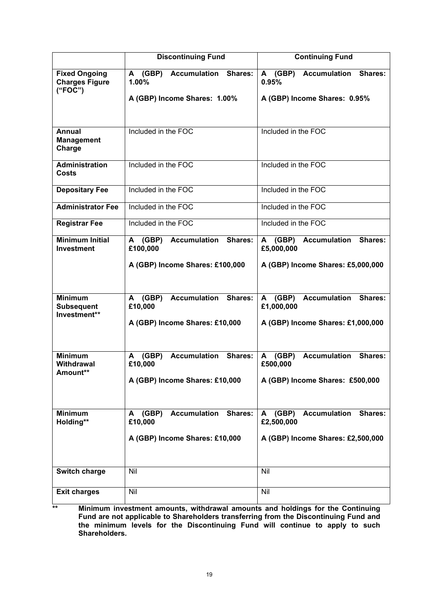|                                                          | <b>Discontinuing Fund</b>                                                                 | <b>Continuing Fund</b>                                                                          |
|----------------------------------------------------------|-------------------------------------------------------------------------------------------|-------------------------------------------------------------------------------------------------|
| <b>Fixed Ongoing</b><br><b>Charges Figure</b><br>("FOC") | <b>Accumulation</b><br>Shares:<br>A (GBP)<br>1.00%<br>A (GBP) Income Shares: 1.00%        | <b>Accumulation</b><br>(GBP)<br><b>Shares:</b><br>A<br>0.95%<br>A (GBP) Income Shares: 0.95%    |
|                                                          |                                                                                           |                                                                                                 |
| <b>Annual</b><br><b>Management</b><br>Charge             | Included in the FOC                                                                       | Included in the FOC                                                                             |
| <b>Administration</b><br><b>Costs</b>                    | Included in the FOC                                                                       | Included in the FOC                                                                             |
| <b>Depositary Fee</b>                                    | Included in the FOC                                                                       | Included in the FOC                                                                             |
| <b>Administrator Fee</b>                                 | Included in the FOC                                                                       | Included in the FOC                                                                             |
| <b>Registrar Fee</b>                                     | Included in the FOC                                                                       | Included in the FOC                                                                             |
| <b>Minimum Initial</b><br><b>Investment</b>              | <b>Accumulation</b><br>Shares:<br>A (GBP)<br>£100,000                                     | A (GBP) Accumulation<br><b>Shares:</b><br>£5,000,000                                            |
|                                                          | A (GBP) Income Shares: £100,000                                                           | A (GBP) Income Shares: £5,000,000                                                               |
| <b>Minimum</b><br><b>Subsequent</b><br>Investment**      | <b>Accumulation</b><br>(GBP)<br>Shares:<br>A<br>£10,000<br>A (GBP) Income Shares: £10,000 | <b>Accumulation</b><br>(GBP)<br>Shares:<br>A<br>£1,000,000<br>A (GBP) Income Shares: £1,000,000 |
| <b>Minimum</b><br><b>Withdrawal</b><br>Amount**          | <b>Accumulation</b><br>Shares:<br>(GBP)<br>A<br>£10,000<br>A (GBP) Income Shares: £10,000 | <b>Accumulation</b><br>Shares:<br>(GBP)<br>A<br>£500,000<br>A (GBP) Income Shares: £500,000     |
| <b>Minimum</b><br>Holding**                              | Shares:<br>(GBP)<br><b>Accumulation</b><br>A<br>£10,000<br>A (GBP) Income Shares: £10,000 | <b>Accumulation</b><br>(GBP)<br>Shares:<br>A<br>£2,500,000<br>A (GBP) Income Shares: £2,500,000 |
| <b>Switch charge</b>                                     | Nil                                                                                       | Nil                                                                                             |
| <b>Exit charges</b>                                      | Nil                                                                                       | Nil                                                                                             |

**\*\* Minimum investment amounts, withdrawal amounts and holdings for the Continuing Fund are not applicable to Shareholders transferring from the Discontinuing Fund and the minimum levels for the Discontinuing Fund will continue to apply to such Shareholders.**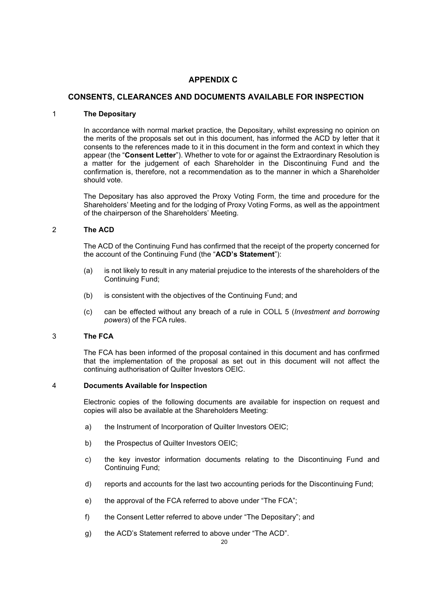## **APPENDIX C**

### **CONSENTS, CLEARANCES AND DOCUMENTS AVAILABLE FOR INSPECTION**

#### 1 **The Depositary**

In accordance with normal market practice, the Depositary, whilst expressing no opinion on the merits of the proposals set out in this document, has informed the ACD by letter that it consents to the references made to it in this document in the form and context in which they appear (the "**Consent Letter**"). Whether to vote for or against the Extraordinary Resolution is a matter for the judgement of each Shareholder in the Discontinuing Fund and the confirmation is, therefore, not a recommendation as to the manner in which a Shareholder should vote.

The Depositary has also approved the Proxy Voting Form, the time and procedure for the Shareholders' Meeting and for the lodging of Proxy Voting Forms, as well as the appointment of the chairperson of the Shareholders' Meeting.

#### 2 **The ACD**

The ACD of the Continuing Fund has confirmed that the receipt of the property concerned for the account of the Continuing Fund (the "**ACD's Statement**"):

- (a) is not likely to result in any material prejudice to the interests of the shareholders of the Continuing Fund;
- (b) is consistent with the objectives of the Continuing Fund; and
- (c) can be effected without any breach of a rule in COLL 5 (*Investment and borrowing powers*) of the FCA rules.

#### 3 **The FCA**

The FCA has been informed of the proposal contained in this document and has confirmed that the implementation of the proposal as set out in this document will not affect the continuing authorisation of Quilter Investors OEIC.

#### 4 **Documents Available for Inspection**

Electronic copies of the following documents are available for inspection on request and copies will also be available at the Shareholders Meeting:

- a) the Instrument of Incorporation of Quilter Investors OEIC;
- b) the Prospectus of Quilter Investors OEIC;
- c) the key investor information documents relating to the Discontinuing Fund and Continuing Fund;
- d) reports and accounts for the last two accounting periods for the Discontinuing Fund;
- e) the approval of the FCA referred to above under "The FCA";
- f) the Consent Letter referred to above under "The Depositary"; and
- g) the ACD's Statement referred to above under "The ACD".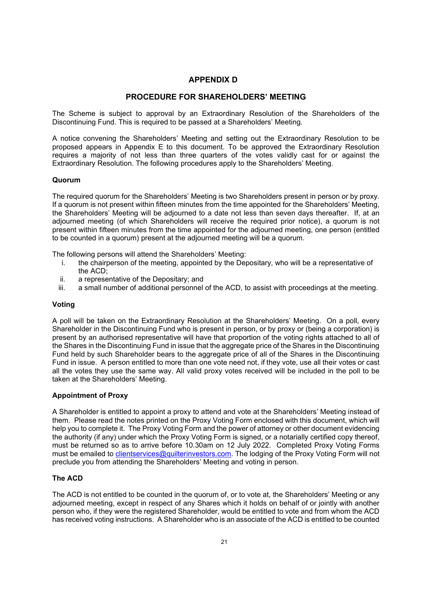# **APPENDIX D**

## **PROCEDURE FOR SHAREHOLDERS' MEETING**

The Scheme is subject to approval by an Extraordinary Resolution of the Shareholders of the Discontinuing Fund. This is required to be passed at a Shareholders' Meeting.

A notice convening the Shareholders' Meeting and setting out the Extraordinary Resolution to be proposed appears in Appendix E to this document. To be approved the Extraordinary Resolution requires a majority of not less than three quarters of the votes validly cast for or against the Extraordinary Resolution. The following procedures apply to the Shareholders' Meeting.

#### **Quorum**

The required quorum for the Shareholders' Meeting is two Shareholders present in person or by proxy. If a quorum is not present within fifteen minutes from the time appointed for the Shareholders' Meeting, the Shareholders' Meeting will be adjourned to a date not less than seven days thereafter. If, at an adjourned meeting (of which Shareholders will receive the required prior notice), a quorum is not present within fifteen minutes from the time appointed for the adjourned meeting, one person (entitled to be counted in a quorum) present at the adjourned meeting will be a quorum.

The following persons will attend the Shareholders' Meeting:

- i. the chairperson of the meeting, appointed by the Depositary, who will be a representative of the ACD;
- ii. a representative of the Depositary; and
- a small number of additional personnel of the ACD, to assist with proceedings at the meeting.

#### **Voting**

A poll will be taken on the Extraordinary Resolution at the Shareholders' Meeting. On a poll, every Shareholder in the Discontinuing Fund who is present in person, or by proxy or (being a corporation) is present by an authorised representative will have that proportion of the voting rights attached to all of the Shares in the Discontinuing Fund in issue that the aggregate price of the Shares in the Discontinuing Fund held by such Shareholder bears to the aggregate price of all of the Shares in the Discontinuing Fund in issue. A person entitled to more than one vote need not, if they vote, use all their votes or cast all the votes they use the same way. All valid proxy votes received will be included in the poll to be taken at the Shareholders' Meeting.

#### **Appointment of Proxy**

A Shareholder is entitled to appoint a proxy to attend and vote at the Shareholders' Meeting instead of them. Please read the notes printed on the Proxy Voting Form enclosed with this document, which will help you to complete it. The Proxy Voting Form and the power of attorney or other document evidencing the authority (if any) under which the Proxy Voting Form is signed, or a notarially certified copy thereof, must be returned so as to arrive before 10.30am on 12 July 2022. Completed Proxy Voting Forms must be emailed to [clientservices@quilterinvestors.com.](mailto:clientservices@quilterinvestors.com) The lodging of the Proxy Voting Form will not preclude you from attending the Shareholders' Meeting and voting in person.

#### **The ACD**

The ACD is not entitled to be counted in the quorum of, or to vote at, the Shareholders' Meeting or any adjourned meeting, except in respect of any Shares which it holds on behalf of or jointly with another person who, if they were the registered Shareholder, would be entitled to vote and from whom the ACD has received voting instructions. A Shareholder who is an associate of the ACD is entitled to be counted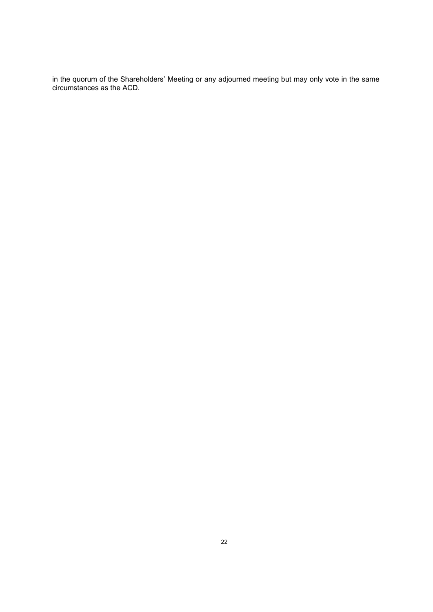in the quorum of the Shareholders' Meeting or any adjourned meeting but may only vote in the same circumstances as the ACD.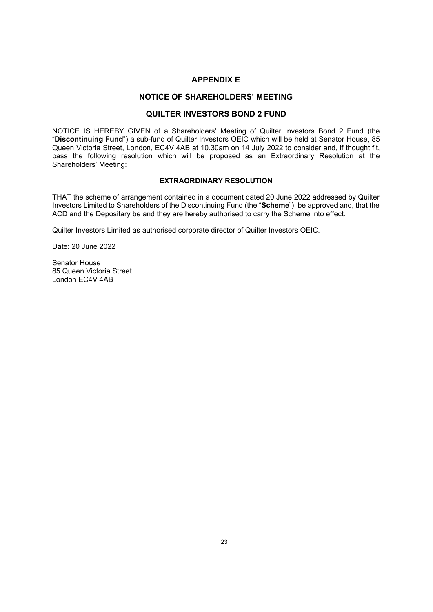## **APPENDIX E**

## **NOTICE OF SHAREHOLDERS' MEETING**

## **QUILTER INVESTORS BOND 2 FUND**

NOTICE IS HEREBY GIVEN of a Shareholders' Meeting of Quilter Investors Bond 2 Fund (the "**Discontinuing Fund**") a sub-fund of Quilter Investors OEIC which will be held at Senator House, 85 Queen Victoria Street, London, EC4V 4AB at 10.30am on 14 July 2022 to consider and, if thought fit, pass the following resolution which will be proposed as an Extraordinary Resolution at the Shareholders' Meeting:

#### **EXTRAORDINARY RESOLUTION**

THAT the scheme of arrangement contained in a document dated 20 June 2022 addressed by Quilter Investors Limited to Shareholders of the Discontinuing Fund (the "**Scheme**"), be approved and, that the ACD and the Depositary be and they are hereby authorised to carry the Scheme into effect.

Quilter Investors Limited as authorised corporate director of Quilter Investors OEIC.

Date: 20 June 2022

Senator House 85 Queen Victoria Street London EC4V 4AB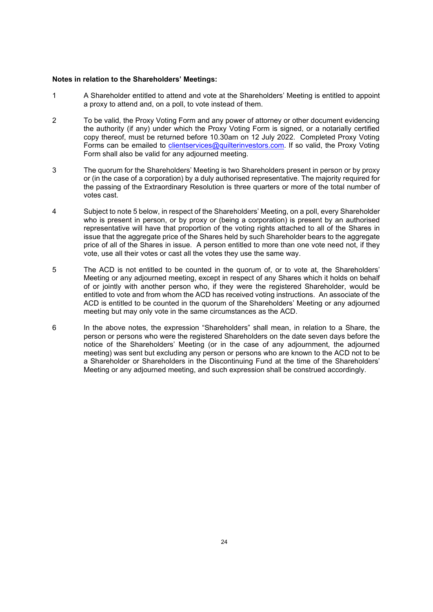#### **Notes in relation to the Shareholders' Meetings:**

- 1 A Shareholder entitled to attend and vote at the Shareholders' Meeting is entitled to appoint a proxy to attend and, on a poll, to vote instead of them.
- 2 To be valid, the Proxy Voting Form and any power of attorney or other document evidencing the authority (if any) under which the Proxy Voting Form is signed, or a notarially certified copy thereof, must be returned before 10.30am on 12 July 2022. Completed Proxy Voting Forms can be emailed to [clientservices@quilterinvestors.com.](mailto:clientservices@quilterinvestors.com) If so valid, the Proxy Voting Form shall also be valid for any adjourned meeting.
- 3 The quorum for the Shareholders' Meeting is two Shareholders present in person or by proxy or (in the case of a corporation) by a duly authorised representative. The majority required for the passing of the Extraordinary Resolution is three quarters or more of the total number of votes cast.
- 4 Subject to note 5 below, in respect of the Shareholders' Meeting, on a poll, every Shareholder who is present in person, or by proxy or (being a corporation) is present by an authorised representative will have that proportion of the voting rights attached to all of the Shares in issue that the aggregate price of the Shares held by such Shareholder bears to the aggregate price of all of the Shares in issue. A person entitled to more than one vote need not, if they vote, use all their votes or cast all the votes they use the same way.
- 5 The ACD is not entitled to be counted in the quorum of, or to vote at, the Shareholders' Meeting or any adjourned meeting, except in respect of any Shares which it holds on behalf of or jointly with another person who, if they were the registered Shareholder, would be entitled to vote and from whom the ACD has received voting instructions. An associate of the ACD is entitled to be counted in the quorum of the Shareholders' Meeting or any adjourned meeting but may only vote in the same circumstances as the ACD.
- 6 In the above notes, the expression "Shareholders" shall mean, in relation to a Share, the person or persons who were the registered Shareholders on the date seven days before the notice of the Shareholders' Meeting (or in the case of any adjournment, the adjourned meeting) was sent but excluding any person or persons who are known to the ACD not to be a Shareholder or Shareholders in the Discontinuing Fund at the time of the Shareholders' Meeting or any adjourned meeting, and such expression shall be construed accordingly.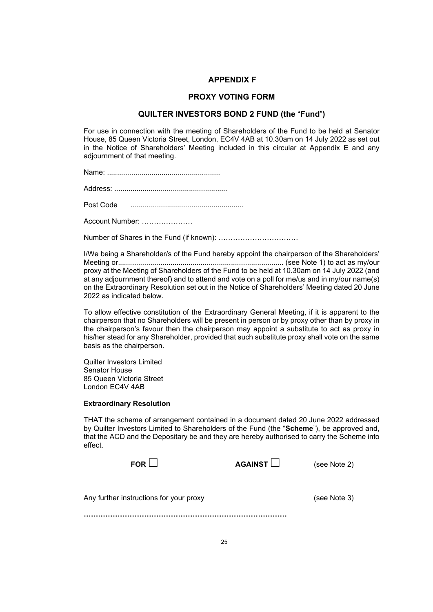#### **APPENDIX F**

#### **PROXY VOTING FORM**

#### **QUILTER INVESTORS BOND 2 FUND (the** "**Fund**"**)**

For use in connection with the meeting of Shareholders of the Fund to be held at Senator House, 85 Queen Victoria Street, London, EC4V 4AB at 10.30am on 14 July 2022 as set out in the Notice of Shareholders' Meeting included in this circular at Appendix E and any adjournment of that meeting.

Name: ........................................................

Address: ........................................................

Post Code ........................................................

Account Number: …………………

Number of Shares in the Fund (if known): ……………………………

I/We being a Shareholder/s of the Fund hereby appoint the chairperson of the Shareholders' Meeting or.................................................................................. (see Note 1) to act as my/our proxy at the Meeting of Shareholders of the Fund to be held at 10.30am on 14 July 2022 (and at any adjournment thereof) and to attend and vote on a poll for me/us and in my/our name(s) on the Extraordinary Resolution set out in the Notice of Shareholders' Meeting dated 20 June 2022 as indicated below.

To allow effective constitution of the Extraordinary General Meeting, if it is apparent to the chairperson that no Shareholders will be present in person or by proxy other than by proxy in the chairperson's favour then the chairperson may appoint a substitute to act as proxy in his/her stead for any Shareholder, provided that such substitute proxy shall vote on the same basis as the chairperson.

Quilter Investors Limited Senator House 85 Queen Victoria Street London EC4V 4AB

#### **Extraordinary Resolution**

THAT the scheme of arrangement contained in a document dated 20 June 2022 addressed by Quilter Investors Limited to Shareholders of the Fund (the "**Scheme**"), be approved and, that the ACD and the Depositary be and they are hereby authorised to carry the Scheme into effect.

| FOR $L$                                     | AGAINST | (see Note 2) |
|---------------------------------------------|---------|--------------|
| Any further instructions for your proxy<br> |         | (see Note 3) |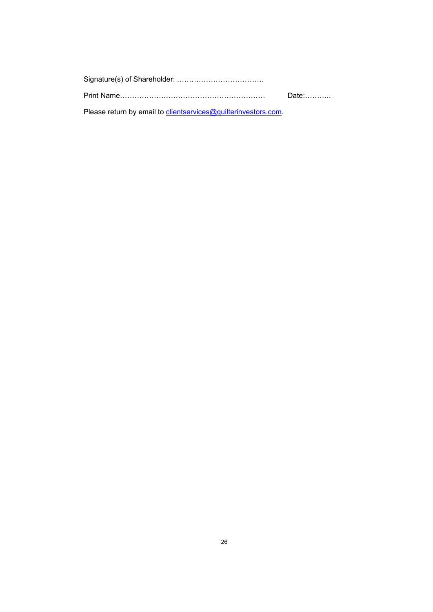|                                                                | Date:………… |
|----------------------------------------------------------------|-----------|
| Please return by email to clientservices@quilterinvestors.com. |           |